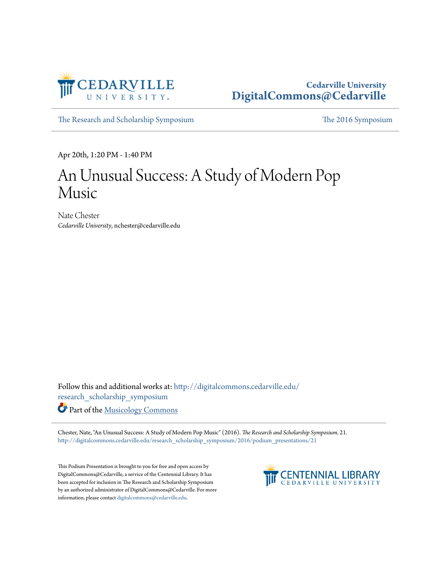

## **Cedarville University [DigitalCommons@Cedarville](http://digitalcommons.cedarville.edu?utm_source=digitalcommons.cedarville.edu%2Fresearch_scholarship_symposium%2F2016%2Fpodium_presentations%2F21&utm_medium=PDF&utm_campaign=PDFCoverPages)**

[The Research and Scholarship Symposium](http://digitalcommons.cedarville.edu/research_scholarship_symposium?utm_source=digitalcommons.cedarville.edu%2Fresearch_scholarship_symposium%2F2016%2Fpodium_presentations%2F21&utm_medium=PDF&utm_campaign=PDFCoverPages) [The 2016 Symposium](http://digitalcommons.cedarville.edu/research_scholarship_symposium/2016?utm_source=digitalcommons.cedarville.edu%2Fresearch_scholarship_symposium%2F2016%2Fpodium_presentations%2F21&utm_medium=PDF&utm_campaign=PDFCoverPages)

Apr 20th, 1:20 PM - 1:40 PM

## An Unusual Success: A Study of Modern Pop Music

Nate Chester *Cedarville University*, nchester@cedarville.edu

Follow this and additional works at: [http://digitalcommons.cedarville.edu/](http://digitalcommons.cedarville.edu/research_scholarship_symposium?utm_source=digitalcommons.cedarville.edu%2Fresearch_scholarship_symposium%2F2016%2Fpodium_presentations%2F21&utm_medium=PDF&utm_campaign=PDFCoverPages) [research\\_scholarship\\_symposium](http://digitalcommons.cedarville.edu/research_scholarship_symposium?utm_source=digitalcommons.cedarville.edu%2Fresearch_scholarship_symposium%2F2016%2Fpodium_presentations%2F21&utm_medium=PDF&utm_campaign=PDFCoverPages)

Part of the [Musicology Commons](http://network.bepress.com/hgg/discipline/521?utm_source=digitalcommons.cedarville.edu%2Fresearch_scholarship_symposium%2F2016%2Fpodium_presentations%2F21&utm_medium=PDF&utm_campaign=PDFCoverPages)

Chester, Nate, "An Unusual Success: A Study of Modern Pop Music" (2016). *The Research and Scholarship Symposium*. 21. [http://digitalcommons.cedarville.edu/research\\_scholarship\\_symposium/2016/podium\\_presentations/21](http://digitalcommons.cedarville.edu/research_scholarship_symposium/2016/podium_presentations/21?utm_source=digitalcommons.cedarville.edu%2Fresearch_scholarship_symposium%2F2016%2Fpodium_presentations%2F21&utm_medium=PDF&utm_campaign=PDFCoverPages)

This Podium Presentation is brought to you for free and open access by DigitalCommons@Cedarville, a service of the Centennial Library. It has been accepted for inclusion in The Research and Scholarship Symposium by an authorized administrator of DigitalCommons@Cedarville. For more information, please contact [digitalcommons@cedarville.edu.](mailto:digitalcommons@cedarville.edu)